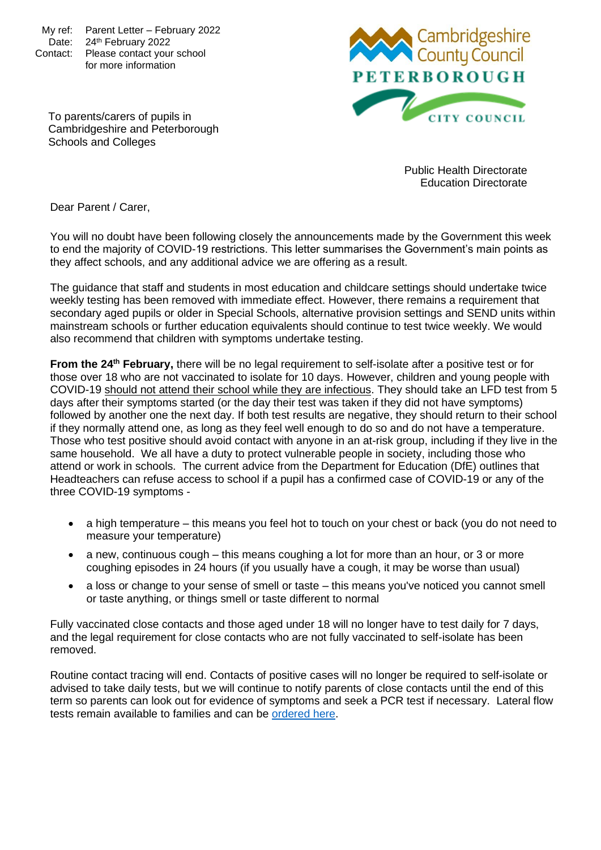My ref: Parent Letter – February 2022 Date: 24th February 2022 Contact: Please contact your school for more information



To parents/carers of pupils in Cambridgeshire and Peterborough Schools and Colleges

> Public Health Directorate Education Directorate

Dear Parent / Carer,

You will no doubt have been following closely the announcements made by the Government this week to end the majority of COVID-19 restrictions. This letter summarises the Government's main points as they affect schools, and any additional advice we are offering as a result.

The guidance that staff and students in most education and childcare settings should undertake twice weekly testing has been removed with immediate effect. However, there remains a requirement that secondary aged pupils or older in Special Schools, alternative provision settings and SEND units within mainstream schools or further education equivalents should continue to test twice weekly. We would also recommend that children with symptoms undertake testing.

**From the 24th February,** there will be no legal requirement to self-isolate after a positive test or for those over 18 who are not vaccinated to isolate for 10 days. However, children and young people with COVID-19 should not attend their school while they are infectious. They should take an LFD test from 5 days after their symptoms started (or the day their test was taken if they did not have symptoms) followed by another one the next day. If both test results are negative, they should return to their school if they normally attend one, as long as they feel well enough to do so and do not have a temperature. Those who test positive should avoid contact with anyone in an at-risk group, including if they live in the same household. We all have a duty to protect vulnerable people in society, including those who attend or work in schools. The current advice from the Department for Education (DfE) outlines that Headteachers can refuse access to school if a pupil has a confirmed case of COVID-19 or any of the three COVID-19 symptoms -

- a high temperature this means you feel hot to touch on your chest or back (you do not need to measure your temperature)
- a new, continuous cough this means coughing a lot for more than an hour, or 3 or more coughing episodes in 24 hours (if you usually have a cough, it may be worse than usual)
- a loss or change to your sense of smell or taste this means you've noticed you cannot smell or taste anything, or things smell or taste different to normal

Fully vaccinated close contacts and those aged under 18 will no longer have to test daily for 7 days, and the legal requirement for close contacts who are not fully vaccinated to self-isolate has been removed.

Routine contact tracing will end. Contacts of positive cases will no longer be required to self-isolate or advised to take daily tests, but we will continue to notify parents of close contacts until the end of this term so parents can look out for evidence of symptoms and seek a PCR test if necessary. Lateral flow tests remain available to families and can be [ordered here.](https://www.gov.uk/order-coronavirus-rapid-lateral-flow-tests)